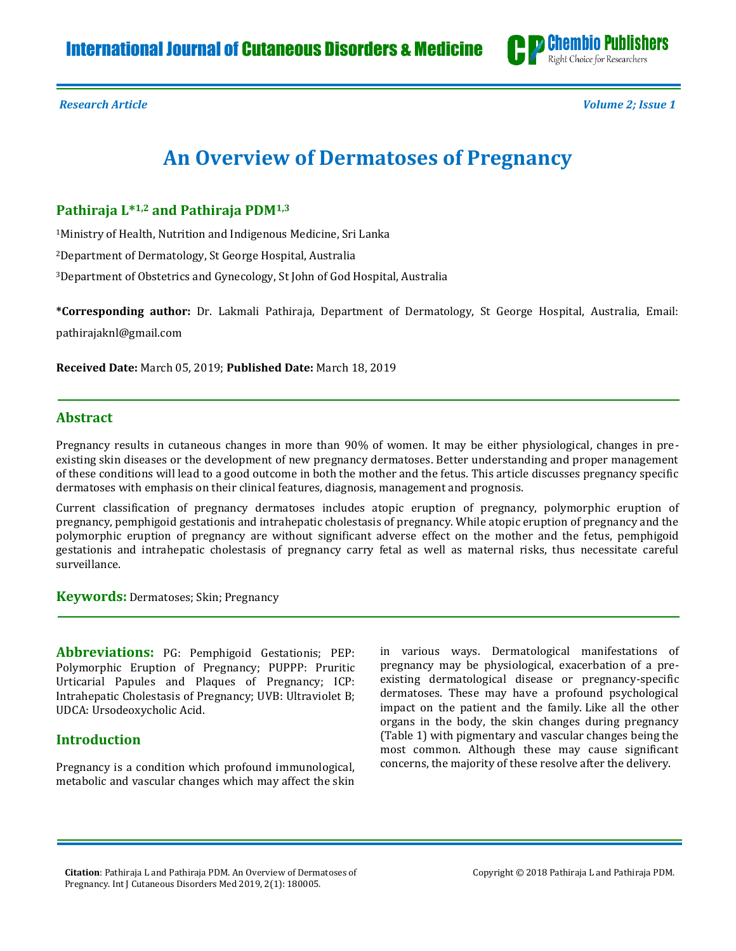

*Research Article Volume 2; Issue 1*

# **An Overview of Dermatoses of Pregnancy**

# **Pathiraja L\*1,2 and Pathiraja PDM1,3**

<sup>1</sup>Ministry of Health, Nutrition and Indigenous Medicine, Sri Lanka

<sup>2</sup>Department of Dermatology, St George Hospital, Australia

<sup>3</sup>Department of Obstetrics and Gynecology, St John of God Hospital, Australia

**\*Corresponding author:** Dr. Lakmali Pathiraja, Department of Dermatology, St George Hospital, Australia, Email: [pathirajaknl@gmail.com](mailto:pathirajaknl@gmail.com)

**Received Date:** March 05, 2019; **Published Date:** March 18, 2019

## **Abstract**

Pregnancy results in cutaneous changes in more than 90% of women. It may be either physiological, changes in preexisting skin diseases or the development of new pregnancy dermatoses. Better understanding and proper management of these conditions will lead to a good outcome in both the mother and the fetus. This article discusses pregnancy specific dermatoses with emphasis on their clinical features, diagnosis, management and prognosis.

Current classification of pregnancy dermatoses includes atopic eruption of pregnancy, polymorphic eruption of pregnancy, pemphigoid gestationis and intrahepatic cholestasis of pregnancy. While atopic eruption of pregnancy and the polymorphic eruption of pregnancy are without significant adverse effect on the mother and the fetus, pemphigoid gestationis and intrahepatic cholestasis of pregnancy carry fetal as well as maternal risks, thus necessitate careful surveillance.

**Keywords:** Dermatoses; Skin; Pregnancy

**Abbreviations:** PG: Pemphigoid Gestationis; PEP: Polymorphic Eruption of Pregnancy; PUPPP: Pruritic Urticarial Papules and Plaques of Pregnancy; ICP: Intrahepatic Cholestasis of Pregnancy; UVB: Ultraviolet B; UDCA: Ursodeoxycholic Acid.

# **Introduction**

Pregnancy is a condition which profound immunological, metabolic and vascular changes which may affect the skin in various ways. Dermatological manifestations of pregnancy may be physiological, exacerbation of a preexisting dermatological disease or pregnancy-specific dermatoses. These may have a profound psychological impact on the patient and the family. Like all the other organs in the body, the skin changes during pregnancy (Table 1) with pigmentary and vascular changes being the most common. Although these may cause significant concerns, the majority of these resolve after the delivery.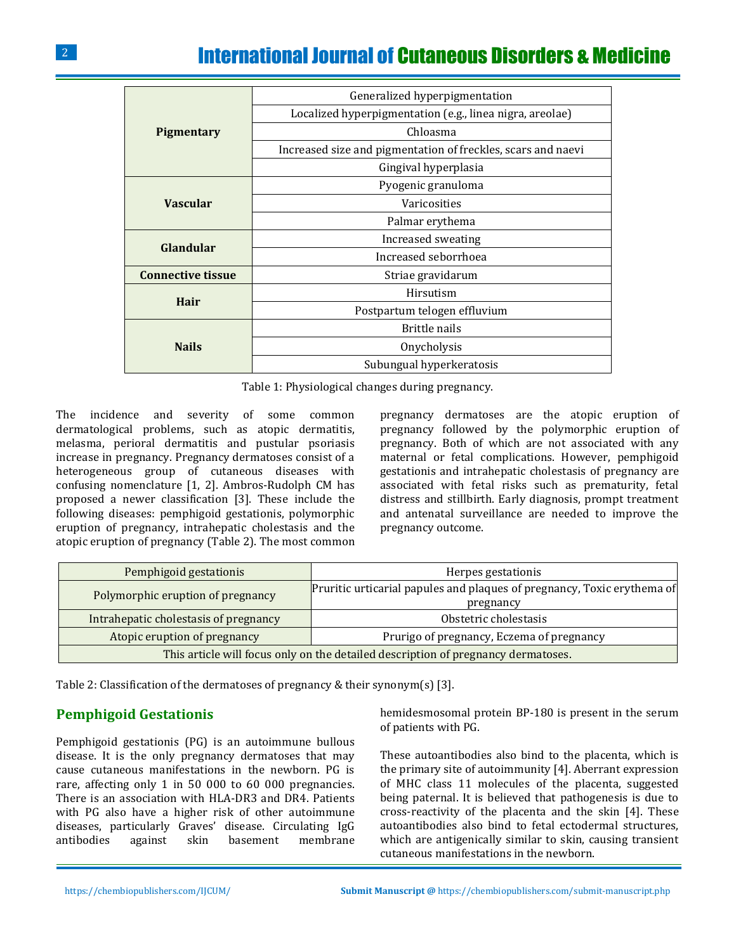# International Journal of Cutaneous Disorders & Medicine

| Generalized hyperpigmentation<br>Localized hyperpigmentation (e.g., linea nigra, areolae)<br>Chloasma<br><b>Pigmentary</b><br>Increased size and pigmentation of freckles, scars and naevi<br>Gingival hyperplasia<br>Pyogenic granuloma<br><b>Vascular</b><br>Varicosities<br>Palmar erythema<br>Increased sweating<br>Glandular<br>Increased seborrhoea<br><b>Connective tissue</b><br>Striae gravidarum<br>Hirsutism<br>Hair<br>Postpartum telogen effluvium<br>Brittle nails<br><b>Nails</b><br>Onycholysis<br>Subungual hyperkeratosis |  |  |  |  |
|---------------------------------------------------------------------------------------------------------------------------------------------------------------------------------------------------------------------------------------------------------------------------------------------------------------------------------------------------------------------------------------------------------------------------------------------------------------------------------------------------------------------------------------------|--|--|--|--|
|                                                                                                                                                                                                                                                                                                                                                                                                                                                                                                                                             |  |  |  |  |
|                                                                                                                                                                                                                                                                                                                                                                                                                                                                                                                                             |  |  |  |  |
|                                                                                                                                                                                                                                                                                                                                                                                                                                                                                                                                             |  |  |  |  |
|                                                                                                                                                                                                                                                                                                                                                                                                                                                                                                                                             |  |  |  |  |
|                                                                                                                                                                                                                                                                                                                                                                                                                                                                                                                                             |  |  |  |  |
|                                                                                                                                                                                                                                                                                                                                                                                                                                                                                                                                             |  |  |  |  |
|                                                                                                                                                                                                                                                                                                                                                                                                                                                                                                                                             |  |  |  |  |
|                                                                                                                                                                                                                                                                                                                                                                                                                                                                                                                                             |  |  |  |  |
|                                                                                                                                                                                                                                                                                                                                                                                                                                                                                                                                             |  |  |  |  |
|                                                                                                                                                                                                                                                                                                                                                                                                                                                                                                                                             |  |  |  |  |
|                                                                                                                                                                                                                                                                                                                                                                                                                                                                                                                                             |  |  |  |  |
|                                                                                                                                                                                                                                                                                                                                                                                                                                                                                                                                             |  |  |  |  |
|                                                                                                                                                                                                                                                                                                                                                                                                                                                                                                                                             |  |  |  |  |
|                                                                                                                                                                                                                                                                                                                                                                                                                                                                                                                                             |  |  |  |  |
|                                                                                                                                                                                                                                                                                                                                                                                                                                                                                                                                             |  |  |  |  |
|                                                                                                                                                                                                                                                                                                                                                                                                                                                                                                                                             |  |  |  |  |

Table 1: Physiological changes during pregnancy.

The incidence and severity of some common dermatological problems, such as atopic dermatitis, melasma, perioral dermatitis and pustular psoriasis increase in pregnancy. Pregnancy dermatoses consist of a heterogeneous group of cutaneous diseases with confusing nomenclature [1, 2]. Ambros-Rudolph CM has proposed a newer classification [3]. These include the following diseases: pemphigoid gestationis, polymorphic eruption of pregnancy, intrahepatic cholestasis and the atopic eruption of pregnancy (Table 2). The most common

pregnancy dermatoses are the atopic eruption of pregnancy followed by the polymorphic eruption of pregnancy. Both of which are not associated with any maternal or fetal complications. However, pemphigoid gestationis and intrahepatic cholestasis of pregnancy are associated with fetal risks such as prematurity, fetal distress and stillbirth. Early diagnosis, prompt treatment and antenatal surveillance are needed to improve the pregnancy outcome.

| Pemphigoid gestationis                                                            | Herpes gestationis                                                                   |  |  |  |
|-----------------------------------------------------------------------------------|--------------------------------------------------------------------------------------|--|--|--|
| Polymorphic eruption of pregnancy                                                 | Pruritic urticarial papules and plaques of pregnancy, Toxic erythema of<br>pregnancy |  |  |  |
| Intrahepatic cholestasis of pregnancy                                             | Obstetric cholestasis                                                                |  |  |  |
| Atopic eruption of pregnancy                                                      | Prurigo of pregnancy, Eczema of pregnancy                                            |  |  |  |
| This article will focus only on the detailed description of pregnancy dermatoses. |                                                                                      |  |  |  |

Table 2: Classification of the dermatoses of pregnancy & their synonym(s) [3].

### **Pemphigoid Gestationis**

Pemphigoid gestationis (PG) is an autoimmune bullous disease. It is the only pregnancy dermatoses that may cause cutaneous manifestations in the newborn. PG is rare, affecting only 1 in 50 000 to 60 000 pregnancies. There is an association with HLA-DR3 and DR4. Patients with PG also have a higher risk of other autoimmune diseases, particularly Graves' disease. Circulating IgG antibodies against skin basement membrane hemidesmosomal protein BP-180 is present in the serum of patients with PG.

These autoantibodies also bind to the placenta, which is the primary site of autoimmunity [4]. Aberrant expression of MHC class 11 molecules of the placenta, suggested being paternal. It is believed that pathogenesis is due to cross-reactivity of the placenta and the skin [4]. These autoantibodies also bind to fetal ectodermal structures, which are antigenically similar to skin, causing transient cutaneous manifestations in the newborn.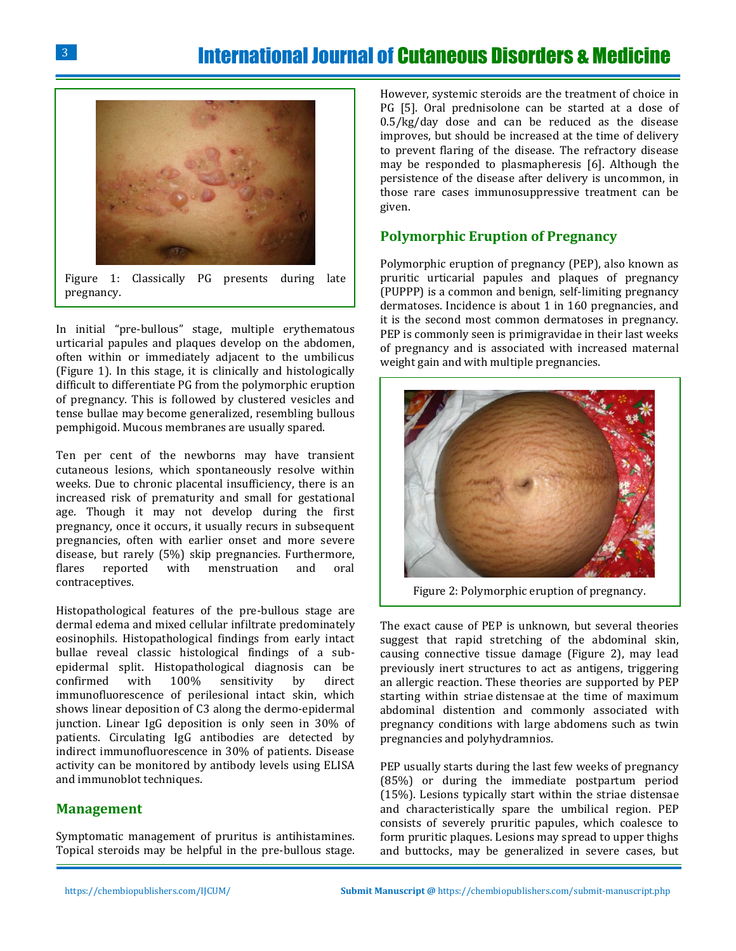

Figure 1: Classically PG presents during late pregnancy.

In initial "pre-bullous" stage, multiple erythematous urticarial papules and plaques develop on the abdomen, often within or immediately adjacent to the umbilicus (Figure 1). In this stage, it is clinically and histologically difficult to differentiate PG from the polymorphic eruption of pregnancy. This is followed by clustered vesicles and tense bullae may become generalized, resembling bullous pemphigoid. Mucous membranes are usually spared.

Ten per cent of the newborns may have transient cutaneous lesions, which spontaneously resolve within weeks. Due to chronic placental insufficiency, there is an increased risk of prematurity and small for gestational age. Though it may not develop during the first pregnancy, once it occurs, it usually recurs in subsequent pregnancies, often with earlier onset and more severe disease, but rarely (5%) skip pregnancies. Furthermore, flares reported with menstruation and oral contraceptives.

Histopathological features of the pre-bullous stage are dermal edema and mixed cellular infiltrate predominately eosinophils. Histopathological findings from early intact bullae reveal classic histological findings of a subepidermal split. Histopathological diagnosis can be confirmed with 100% sensitivity by direct immunofluorescence of perilesional intact skin, which shows linear deposition of C3 along the dermo-epidermal junction. Linear IgG deposition is only seen in 30% of patients. Circulating IgG antibodies are detected by indirect immunofluorescence in 30% of patients. Disease activity can be monitored by antibody levels using ELISA and immunoblot techniques.

#### **Management**

Symptomatic management of pruritus is antihistamines. Topical steroids may be helpful in the pre-bullous stage.

However, systemic steroids are the treatment of choice in PG [5]. Oral prednisolone can be started at a dose of 0.5/kg/day dose and can be reduced as the disease improves, but should be increased at the time of delivery to prevent flaring of the disease. The refractory disease may be responded to plasmapheresis [6]. Although the persistence of the disease after delivery is uncommon, in those rare cases immunosuppressive treatment can be given.

#### **Polymorphic Eruption of Pregnancy**

Polymorphic eruption of pregnancy (PEP), also known as pruritic urticarial papules and plaques of pregnancy (PUPPP) is a common and benign, self-limiting pregnancy dermatoses. Incidence is about 1 in 160 pregnancies, and it is the second most common dermatoses in pregnancy. PEP is commonly seen is primigravidae in their last weeks of pregnancy and is associated with increased maternal weight gain and with multiple pregnancies.



Figure 2: Polymorphic eruption of pregnancy.

The exact cause of PEP is unknown, but several theories suggest that rapid stretching of the abdominal skin, causing connective tissue damage (Figure 2), may lead previously inert structures to act as antigens, triggering an allergic reaction. These theories are supported by PEP starting within striae distensae at the time of maximum abdominal distention and commonly associated with pregnancy conditions with large abdomens such as twin pregnancies and polyhydramnios.

PEP usually starts during the last few weeks of pregnancy (85%) or during the immediate postpartum period (15%). Lesions typically start within the striae distensae and characteristically spare the umbilical region. PEP consists of severely pruritic papules, which coalesce to form pruritic plaques. Lesions may spread to upper thighs and buttocks, may be generalized in severe cases, but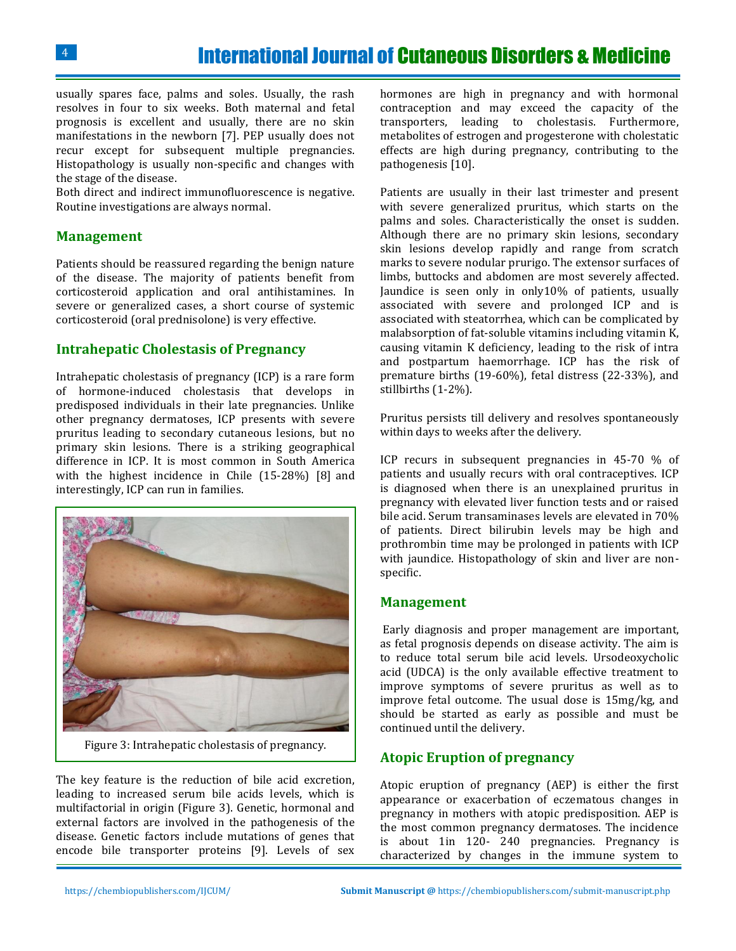usually spares face, palms and soles. Usually, the rash resolves in four to six weeks. Both maternal and fetal prognosis is excellent and usually, there are no skin manifestations in the newborn [7]. PEP usually does not recur except for subsequent multiple pregnancies. Histopathology is usually non-specific and changes with the stage of the disease.

Both direct and indirect immunofluorescence is negative. Routine investigations are always normal.

### **Management**

Patients should be reassured regarding the benign nature of the disease. The majority of patients benefit from corticosteroid application and oral antihistamines. In severe or generalized cases, a short course of systemic corticosteroid (oral prednisolone) is very effective.

## **Intrahepatic Cholestasis of Pregnancy**

Intrahepatic cholestasis of pregnancy (ICP) is a rare form of hormone-induced cholestasis that develops in predisposed individuals in their late pregnancies. Unlike other pregnancy dermatoses, ICP presents with severe pruritus leading to secondary cutaneous lesions, but no primary skin lesions. There is a striking geographical difference in ICP. It is most common in South America with the highest incidence in Chile (15-28%) [8] and interestingly, ICP can run in families.



Figure 3: Intrahepatic cholestasis of pregnancy.

The key feature is the reduction of bile acid excretion, leading to increased serum bile acids levels, which is multifactorial in origin (Figure 3). Genetic, hormonal and external factors are involved in the pathogenesis of the disease. Genetic factors include mutations of genes that encode bile transporter proteins [9]. Levels of sex

hormones are high in pregnancy and with hormonal contraception and may exceed the capacity of the transporters, leading to cholestasis. Furthermore, metabolites of estrogen and progesterone with cholestatic effects are high during pregnancy, contributing to the pathogenesis [10].

Patients are usually in their last trimester and present with severe generalized pruritus, which starts on the palms and soles. Characteristically the onset is sudden. Although there are no primary skin lesions, secondary skin lesions develop rapidly and range from scratch marks to severe nodular prurigo. The extensor surfaces of limbs, buttocks and abdomen are most severely affected. Jaundice is seen only in only10% of patients, usually associated with severe and prolonged ICP and is associated with steatorrhea, which can be complicated by malabsorption of fat-soluble vitamins including vitamin K, causing vitamin K deficiency, leading to the risk of intra and postpartum haemorrhage. ICP has the risk of premature births (19-60%), fetal distress (22-33%), and stillbirths (1-2%).

Pruritus persists till delivery and resolves spontaneously within days to weeks after the delivery.

ICP recurs in subsequent pregnancies in 45-70 % of patients and usually recurs with oral contraceptives. ICP is diagnosed when there is an unexplained pruritus in pregnancy with elevated liver function tests and or raised bile acid. Serum transaminases levels are elevated in 70% of patients. Direct bilirubin levels may be high and prothrombin time may be prolonged in patients with ICP with jaundice. Histopathology of skin and liver are nonspecific.

#### **Management**

Early diagnosis and proper management are important, as fetal prognosis depends on disease activity. The aim is to reduce total serum bile acid levels. Ursodeoxycholic acid (UDCA) is the only available effective treatment to improve symptoms of severe pruritus as well as to improve fetal outcome. The usual dose is 15mg/kg, and should be started as early as possible and must be continued until the delivery.

# **Atopic Eruption of pregnancy**

Atopic eruption of pregnancy (AEP) is either the first appearance or exacerbation of eczematous changes in pregnancy in mothers with atopic predisposition. AEP is the most common pregnancy dermatoses. The incidence is about 1in 120- 240 pregnancies. Pregnancy is characterized by changes in the immune system to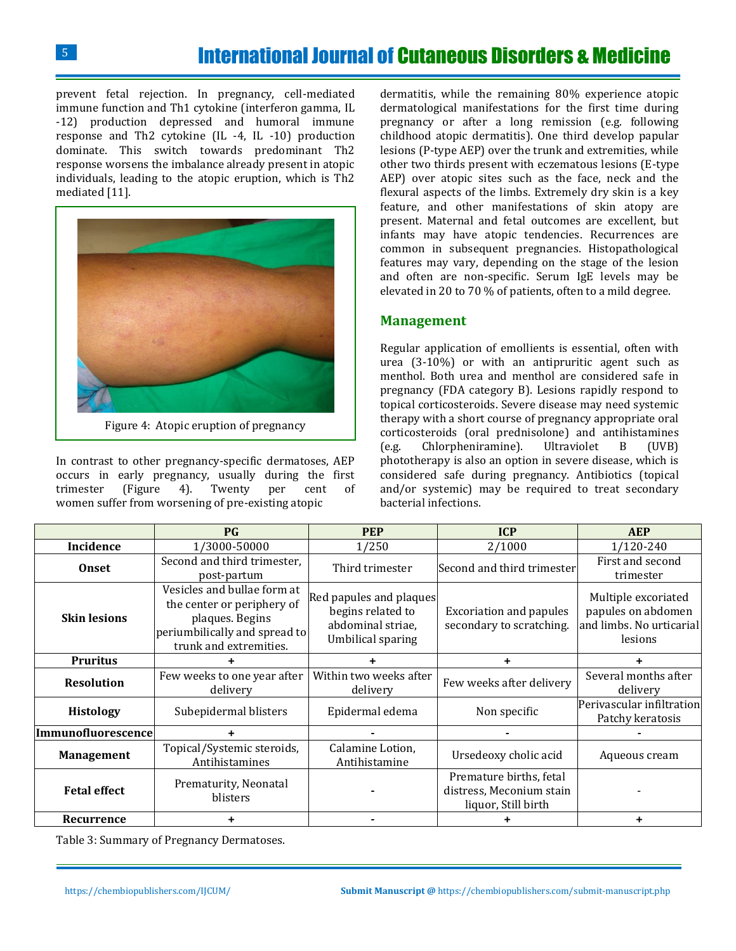5

prevent fetal rejection. In pregnancy, cell-mediated immune function and Th1 cytokine (interferon gamma, IL -12) production depressed and humoral immune response and Th2 cytokine (IL -4, IL -10) production dominate. This switch towards predominant Th2 response worsens the imbalance already present in atopic individuals, leading to the atopic eruption, which is Th2 mediated [11].



Figure 4: Atopic eruption of pregnancy

In contrast to other pregnancy-specific dermatoses, AEP occurs in early pregnancy, usually during the first trimester (Figure 4). Twenty per cent of women suffer from worsening of pre-existing atopic

dermatitis, while the remaining 80% experience atopic dermatological manifestations for the first time during pregnancy or after a long remission (e.g. following childhood atopic dermatitis). One third develop papular lesions (P-type AEP) over the trunk and extremities, while other two thirds present with eczematous lesions (E-type AEP) over atopic sites such as the face, neck and the flexural aspects of the limbs. Extremely dry skin is a key feature, and other manifestations of skin atopy are present. Maternal and fetal outcomes are excellent, but infants may have atopic tendencies. Recurrences are common in subsequent pregnancies. Histopathological features may vary, depending on the stage of the lesion and often are non-specific. Serum IgE levels may be elevated in 20 to 70 % of patients, often to a mild degree.

## **Management**

Regular application of emollients is essential, often with urea (3-10%) or with an antipruritic agent such as menthol. Both urea and menthol are considered safe in pregnancy (FDA category B). Lesions rapidly respond to topical corticosteroids. Severe disease may need systemic therapy with a short course of pregnancy appropriate oral corticosteroids (oral prednisolone) and antihistamines (e.g. Chlorpheniramine). Ultraviolet B (UVB) phototherapy is also an option in severe disease, which is considered safe during pregnancy. Antibiotics (topical and/or systemic) may be required to treat secondary bacterial infections.

|                           | $P$ G                                                                                                                                   | <b>PEP</b>                                                                             | <b>ICP</b>                                                                 | <b>AEP</b>                                                                       |
|---------------------------|-----------------------------------------------------------------------------------------------------------------------------------------|----------------------------------------------------------------------------------------|----------------------------------------------------------------------------|----------------------------------------------------------------------------------|
| Incidence                 | 1/3000-50000                                                                                                                            | 1/250                                                                                  | 2/1000                                                                     | 1/120-240                                                                        |
| Onset                     | Second and third trimester,<br>post-partum                                                                                              | Third trimester                                                                        | Second and third trimester                                                 | First and second<br>trimester                                                    |
| <b>Skin lesions</b>       | Vesicles and bullae form at<br>the center or periphery of<br>plaques. Begins<br>periumbilically and spread to<br>trunk and extremities. | Red papules and plaques<br>begins related to<br>abdominal striae,<br>Umbilical sparing | <b>Excoriation and papules</b><br>secondary to scratching.                 | Multiple excoriated<br>papules on abdomen<br>and limbs. No urticarial<br>lesions |
| <b>Pruritus</b>           |                                                                                                                                         |                                                                                        | ÷                                                                          |                                                                                  |
| <b>Resolution</b>         | Few weeks to one year after<br>delivery                                                                                                 | Within two weeks after<br>delivery                                                     | Few weeks after delivery                                                   | Several months after<br>delivery                                                 |
| <b>Histology</b>          | Subepidermal blisters                                                                                                                   | Epidermal edema                                                                        | Non specific                                                               | Perivascular infiltration<br>Patchy keratosis                                    |
| <b>Immunofluorescence</b> |                                                                                                                                         |                                                                                        |                                                                            |                                                                                  |
| <b>Management</b>         | Topical/Systemic steroids,<br>Antihistamines                                                                                            | Calamine Lotion,<br>Antihistamine                                                      | Ursedeoxy cholic acid                                                      | Aqueous cream                                                                    |
| <b>Fetal effect</b>       | Prematurity, Neonatal<br>blisters                                                                                                       |                                                                                        | Premature births, fetal<br>distress, Meconium stain<br>liquor, Still birth |                                                                                  |
| Recurrence                | ٠                                                                                                                                       |                                                                                        |                                                                            |                                                                                  |

Table 3: Summary of Pregnancy Dermatoses.